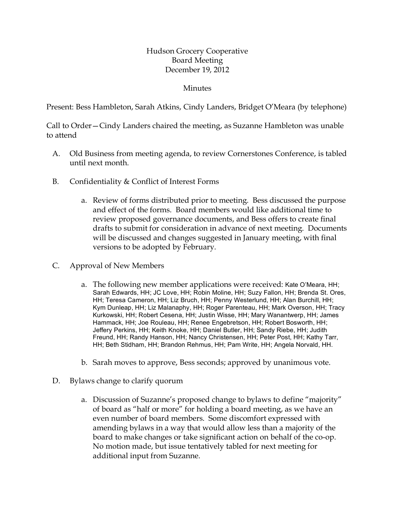## Hudson Grocery Cooperative Board Meeting December 19, 2012

## Minutes

Present: Bess Hambleton, Sarah Atkins, Cindy Landers, Bridget O'Meara (by telephone)

Call to Order—Cindy Landers chaired the meeting, as Suzanne Hambleton was unable to attend

- A. Old Business from meeting agenda, to review Cornerstones Conference, is tabled until next month.
- B. Confidentiality & Conflict of Interest Forms
	- a. Review of forms distributed prior to meeting. Bess discussed the purpose and effect of the forms. Board members would like additional time to review proposed governance documents, and Bess offers to create final drafts to submit for consideration in advance of next meeting. Documents will be discussed and changes suggested in January meeting, with final versions to be adopted by February.
- C. Approval of New Members
	- a. The following new member applications were received: Kate O'Meara, HH; Sarah Edwards, HH; JC Love, HH; Robin Moline, HH; Suzy Fallon, HH; Brenda St. Ores, HH; Teresa Cameron, HH; Liz Bruch, HH; Penny Westerlund, HH; Alan Burchill, HH; Kym Dunleap, HH; Liz Malanaphy, HH; Roger Parenteau, HH; Mark Overson, HH; Tracy Kurkowski, HH; Robert Cesena, HH; Justin Wisse, HH; Mary Wanantwerp, HH; James Hammack, HH; Joe Rouleau, HH; Renee Engebretson, HH; Robert Bosworth, HH; Jeffery Perkins, HH; Keith Knoke, HH; Daniel Butler, HH; Sandy Riebe, HH; Judith Freund, HH; Randy Hanson, HH; Nancy Christensen, HH; Peter Post, HH; Kathy Tarr, HH; Beth Stidham, HH; Brandon Rehmus, HH; Pam Write, HH; Angela Norvald, HH.
	- b. Sarah moves to approve, Bess seconds; approved by unanimous vote.
- D. Bylaws change to clarify quorum
	- a. Discussion of Suzanne's proposed change to bylaws to define "majority" of board as "half or more" for holding a board meeting, as we have an even number of board members. Some discomfort expressed with amending bylaws in a way that would allow less than a majority of the board to make changes or take significant action on behalf of the co-op. No motion made, but issue tentatively tabled for next meeting for additional input from Suzanne.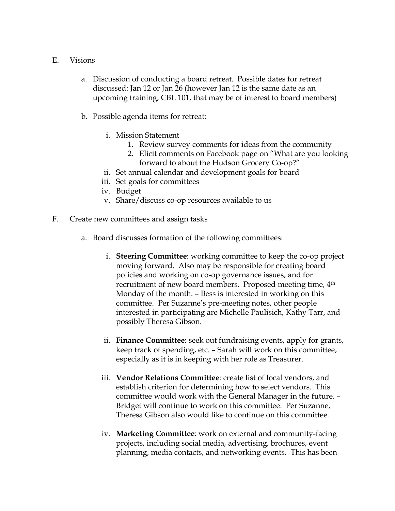- E. Visions
	- a. Discussion of conducting a board retreat. Possible dates for retreat discussed: Jan 12 or Jan 26 (however Jan 12 is the same date as an upcoming training, CBL 101, that may be of interest to board members)
	- b. Possible agenda items for retreat:
		- i. Mission Statement
			- 1. Review survey comments for ideas from the community
			- 2. Elicit comments on Facebook page on "What are you looking forward to about the Hudson Grocery Co-op?"
		- ii. Set annual calendar and development goals for board
		- iii. Set goals for committees
		- iv. Budget
		- v. Share/discuss co-op resources available to us
- F. Create new committees and assign tasks
	- a. Board discusses formation of the following committees:
		- i. **Steering Committee**: working committee to keep the co-op project moving forward. Also may be responsible for creating board policies and working on co-op governance issues, and for recruitment of new board members. Proposed meeting time, 4th Monday of the month. – Bess is interested in working on this committee. Per Suzanne's pre-meeting notes, other people interested in participating are Michelle Paulisich, Kathy Tarr, and possibly Theresa Gibson.
		- ii. **Finance Committee**: seek out fundraising events, apply for grants, keep track of spending, etc. – Sarah will work on this committee, especially as it is in keeping with her role as Treasurer.
		- iii. **Vendor Relations Committee**: create list of local vendors, and establish criterion for determining how to select vendors. This committee would work with the General Manager in the future. – Bridget will continue to work on this committee. Per Suzanne, Theresa Gibson also would like to continue on this committee.
		- iv. **Marketing Committee**: work on external and community-facing projects, including social media, advertising, brochures, event planning, media contacts, and networking events. This has been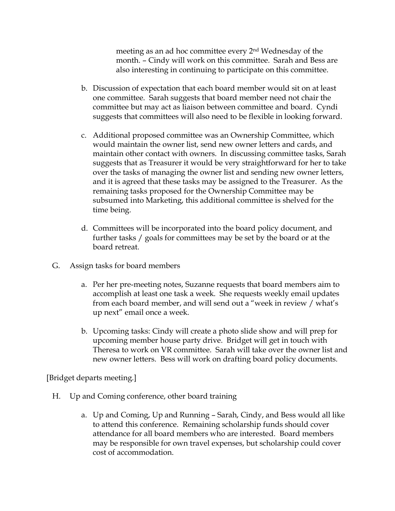meeting as an ad hoc committee every 2nd Wednesday of the month. – Cindy will work on this committee. Sarah and Bess are also interesting in continuing to participate on this committee.

- b. Discussion of expectation that each board member would sit on at least one committee. Sarah suggests that board member need not chair the committee but may act as liaison between committee and board. Cyndi suggests that committees will also need to be flexible in looking forward.
- c. Additional proposed committee was an Ownership Committee, which would maintain the owner list, send new owner letters and cards, and maintain other contact with owners. In discussing committee tasks, Sarah suggests that as Treasurer it would be very straightforward for her to take over the tasks of managing the owner list and sending new owner letters, and it is agreed that these tasks may be assigned to the Treasurer. As the remaining tasks proposed for the Ownership Committee may be subsumed into Marketing, this additional committee is shelved for the time being.
- d. Committees will be incorporated into the board policy document, and further tasks / goals for committees may be set by the board or at the board retreat.
- G. Assign tasks for board members
	- a. Per her pre-meeting notes, Suzanne requests that board members aim to accomplish at least one task a week. She requests weekly email updates from each board member, and will send out a "week in review / what's up next" email once a week.
	- b. Upcoming tasks: Cindy will create a photo slide show and will prep for upcoming member house party drive. Bridget will get in touch with Theresa to work on VR committee. Sarah will take over the owner list and new owner letters. Bess will work on drafting board policy documents.

[Bridget departs meeting.]

- H. Up and Coming conference, other board training
	- a. Up and Coming, Up and Running Sarah, Cindy, and Bess would all like to attend this conference. Remaining scholarship funds should cover attendance for all board members who are interested. Board members may be responsible for own travel expenses, but scholarship could cover cost of accommodation.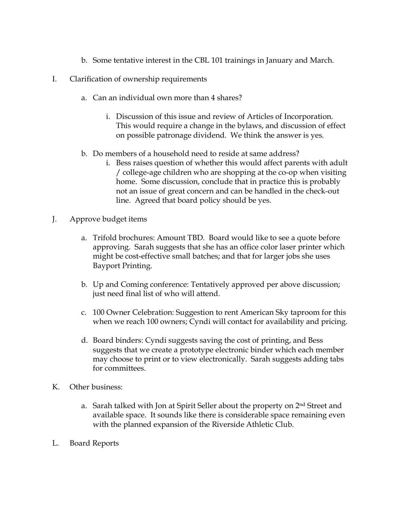- b. Some tentative interest in the CBL 101 trainings in January and March.
- I. Clarification of ownership requirements
	- a. Can an individual own more than 4 shares?
		- i. Discussion of this issue and review of Articles of Incorporation. This would require a change in the bylaws, and discussion of effect on possible patronage dividend. We think the answer is yes.
	- b. Do members of a household need to reside at same address?
		- i. Bess raises question of whether this would affect parents with adult / college-age children who are shopping at the co-op when visiting home. Some discussion, conclude that in practice this is probably not an issue of great concern and can be handled in the check-out line. Agreed that board policy should be yes.
- J. Approve budget items
	- a. Trifold brochures: Amount TBD. Board would like to see a quote before approving. Sarah suggests that she has an office color laser printer which might be cost-effective small batches; and that for larger jobs she uses Bayport Printing.
	- b. Up and Coming conference: Tentatively approved per above discussion; just need final list of who will attend.
	- c. 100 Owner Celebration: Suggestion to rent American Sky taproom for this when we reach 100 owners; Cyndi will contact for availability and pricing.
	- d. Board binders: Cyndi suggests saving the cost of printing, and Bess suggests that we create a prototype electronic binder which each member may choose to print or to view electronically. Sarah suggests adding tabs for committees.
- K. Other business:
	- a. Sarah talked with Jon at Spirit Seller about the property on 2<sup>nd</sup> Street and available space. It sounds like there is considerable space remaining even with the planned expansion of the Riverside Athletic Club.
- L. Board Reports